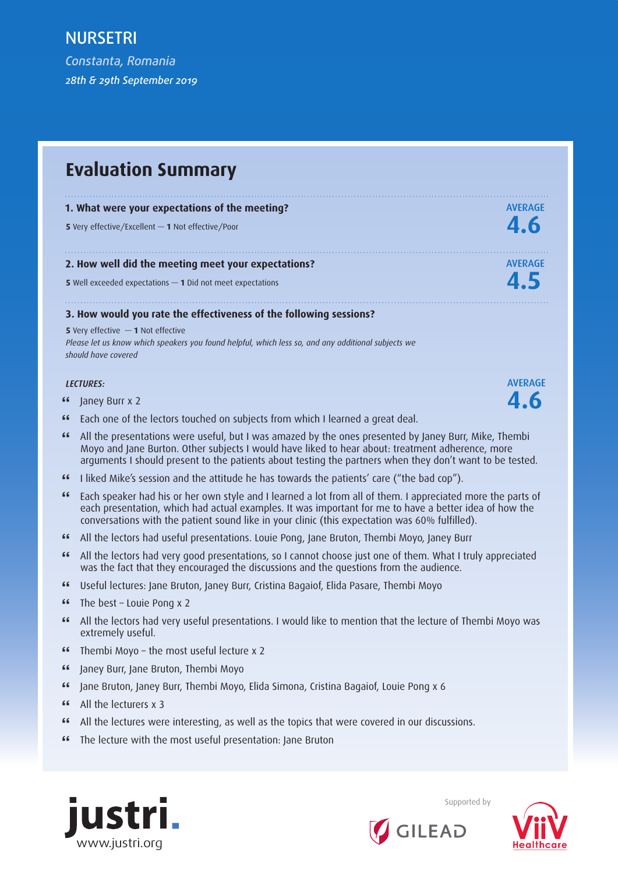*Constanta, Romania 28th & 29th September 2019*

# **Evaluation Summary**

#### **1. What were your expectations of the meeting? AVERAGE**

**<sup>5</sup>**Very effective/Excellent *—* **1** Not effective/Poor **4.6**

#### **2. How well did the meeting meet your expectations?** AVERAGE

**<sup>5</sup>**Well exceeded expectations *—* **1** Did not meet expectations **4.5**

#### **3. How would you rate the effectiveness of the following sessions?**

**5** Very effective *—* **1** Not effective *Please let us know which speakers you found helpful, which less so, and any additional subjects we should have covered* 



- **"** Janey Burr x 2 **4.6**
- **"** Each one of the lectors touched on subjects from which I learned a great deal.
- **"** All the presentations were useful, but I was amazed by the ones presented by Janey Burr, Mike, Thembi Moyo and Jane Burton. Other subjects I would have liked to hear about: treatment adherence, more arguments I should present to the patients about testing the partners when they don't want to be tested.
- **"** I liked Mike's session and the attitude he has towards the patients' care ("the bad cop").
- **"** Each speaker had his or her own style and I learned a lot from all of them. I appreciated more the parts of each presentation, which had actual examples. It was important for me to have a better idea of how the conversations with the patient sound like in your clinic (this expectation was 60% fulfilled).
- **"** All the lectors had useful presentations. Louie Pong, Jane Bruton, Thembi Moyo, Janey Burr
- **"** All the lectors had very good presentations, so I cannot choose just one of them. What I truly appreciated was the fact that they encouraged the discussions and the questions from the audience.
- **"** Useful lectures: Jane Bruton, Janey Burr, Cristina Bagaiof, Elida Pasare, Thembi Moyo
- **"** The best Louie Pong x 2<br>**"** All the lectors had very us
- **"** All the lectors had very useful presentations. I would like to mention that the lecture of Thembi Moyo was extremely useful.
- **"** Thembi Moyo the most useful lecture x 2
- **"** Janey Burr, Jane Bruton, Thembi Moyo
- **"** Jane Bruton, Janey Burr, Thembi Moyo, Elida Simona, Cristina Bagaiof, Louie Pong x 6
- **"** All the lecturers x 3
- **"** All the lectures were interesting, as well as the topics that were covered in our discussions.
- **"** The lecture with the most useful presentation: Jane Bruton





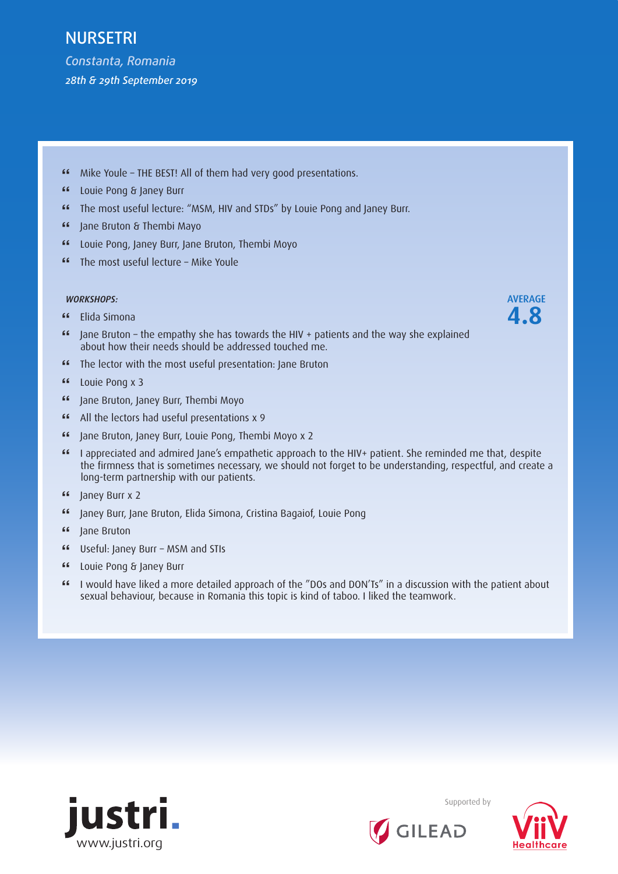*Constanta, Romania 28th & 29th September 2019*

- **"** Mike Youle THE BEST! All of them had very good presentations.
- **"** Louie Pong & Janey Burr
- **"** The most useful lecture: "MSM, HIV and STDs" by Louie Pong and Janey Burr.
- **"** Jane Bruton & Thembi Mayo
- **"** Louie Pong, Janey Burr, Jane Bruton, Thembi Moyo
- **"** The most useful lecture Mike Youle

#### *WORKSHOPS:* AVERAGE

- **"** Elida Simona **4.8**
- **"** Jane Bruton the empathy she has towards the HIV + patients and the way she explained about how their needs should be addressed touched me.
- **"** The lector with the most useful presentation: Jane Bruton<br>"
- **"** Louie Pong x 3
- **"** Jane Bruton, Janey Burr, Thembi Moyo
- **"** All the lectors had useful presentations x 9
- **"** Jane Bruton, Janey Burr, Louie Pong, Thembi Moyo x 2
- **"** I appreciated and admired Jane's empathetic approach to the HIV+ patient. She reminded me that, despite the firmness that is sometimes necessary, we should not forget to be understanding, respectful, and create a long-term partnership with our patients.
- **"** Janey Burr x 2
- **"** Janey Burr, Jane Bruton, Elida Simona, Cristina Bagaiof, Louie Pong
- **"** Jane Bruton
- **"** Useful: Janey Burr MSM and STIs
- **"** Louie Pong & Janey Burr
- **"** I would have liked a more detailed approach of the "DOs and DON'Ts" in a discussion with the patient about sexual behaviour, because in Romania this topic is kind of taboo. I liked the teamwork.





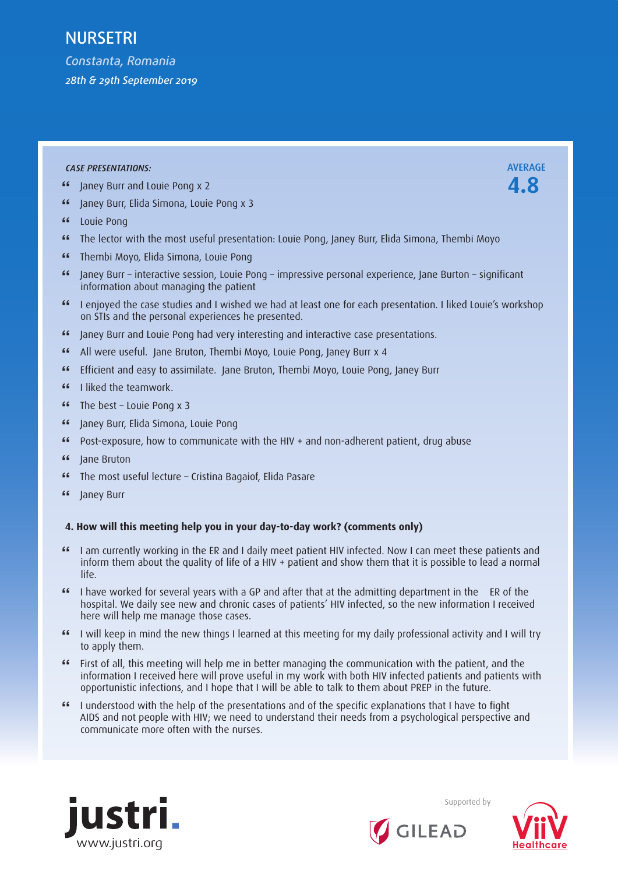*Constanta, Romania 28th & 29th September 2019*

#### *CASE PRESENTATIONS:* AVERAGE

- **"** Janey Burr and Louie Pong x 2 **4.8**
- **"** Janey Burr, Elida Simona, Louie Pong x 3
- **"** Louie Pong
- **"** The lector with the most useful presentation: Louie Pong, Janey Burr, Elida Simona, Thembi Moyo
- **"** Thembi Moyo, Elida Simona, Louie Pong
- **"** Janey Burr interactive session, Louie Pong impressive personal experience, Jane Burton significant information about managing the patient
- **"** I enjoyed the case studies and I wished we had at least one for each presentation. I liked Louie's workshop on STIs and the personal experiences he presented.
- **"** Janey Burr and Louie Pong had very interesting and interactive case presentations.
- **"** All were useful. Jane Bruton, Thembi Moyo, Louie Pong, Janey Burr x 4
- **"** Efficient and easy to assimilate. Jane Bruton, Thembi Moyo, Louie Pong, Janey Burr
- **"** I liked the teamwork.
- **"** The best Louie Pong x 3
- **"** Janey Burr, Elida Simona, Louie Pong
- **"** Post-exposure, how to communicate with the HIV + and non-adherent patient, drug abuse
- **"** Jane Bruton
- **"** The most useful lecture Cristina Bagaiof, Elida Pasare
- **"** Janey Burr

#### **4. How will this meeting help you in your day-to-day work? (comments only)**

- **"** I am currently working in the ER and I daily meet patient HIV infected. Now I can meet these patients and inform them about the quality of life of a HIV + patient and show them that it is possible to lead a normal life.
- **"** I have worked for several years with a GP and after that at the admitting department in the ER of the hospital. We daily see new and chronic cases of patients' HIV infected, so the new information I received here will help me manage those cases.
- **"** I will keep in mind the new things I learned at this meeting for my daily professional activity and I will try to apply them.
- **"** First of all, this meeting will help me in better managing the communication with the patient, and the information I received here will prove useful in my work with both HIV infected patients and patients with opportunistic infections, and I hope that I will be able to talk to them about PREP in the future.
- **"** I understood with the help of the presentations and of the specific explanations that I have to fight AIDS and not people with HIV; we need to understand their needs from a psychological perspective and communicate more often with the nurses.





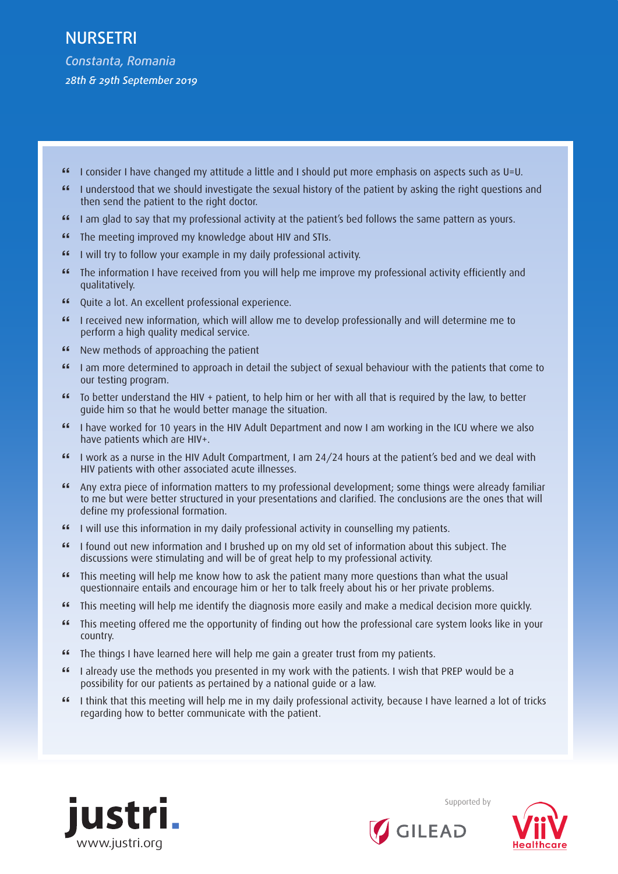- **"** I consider I have changed my attitude a little and I should put more emphasis on aspects such as U=U.
- **"** I understood that we should investigate the sexual history of the patient by asking the right questions and then send the patient to the right doctor.
- **"** I am glad to say that my professional activity at the patient's bed follows the same pattern as yours.
- **"** The meeting improved my knowledge about HIV and STIs.<br>"<br>**"** I will try to follow your example in my daily professional a
- **"** I will try to follow your example in my daily professional activity.
- **"** The information I have received from you will help me improve my professional activity efficiently and qualitatively.
- **"** Quite a lot. An excellent professional experience.
- **"** I received new information, which will allow me to develop professionally and will determine me to perform a high quality medical service.
- **"** New methods of approaching the patient<br>"
- **"** I am more determined to approach in detail the subject of sexual behaviour with the patients that come to our testing program.
- **"** To better understand the HIV + patient, to help him or her with all that is required by the law, to better guide him so that he would better manage the situation.
- **"** I have worked for 10 years in the HIV Adult Department and now I am working in the ICU where we also have patients which are HIV+.
- **"** I work as a nurse in the HIV Adult Compartment, I am 24/24 hours at the patient's bed and we deal with HIV patients with other associated acute illnesses.
- **"** Any extra piece of information matters to my professional development; some things were already familiar to me but were better structured in your presentations and clarified. The conclusions are the ones that will define my professional formation.
- **"** I will use this information in my daily professional activity in counselling my patients.
- **"** I found out new information and I brushed up on my old set of information about this subject. The discussions were stimulating and will be of great help to my professional activity.
- **"** This meeting will help me know how to ask the patient many more questions than what the usual questionnaire entails and encourage him or her to talk freely about his or her private problems.
- **"** This meeting will help me identify the diagnosis more easily and make a medical decision more quickly.<br>"This meeting offered me the opportunity of finding out how the professional care system looks like in you
- **"** This meeting offered me the opportunity of finding out how the professional care system looks like in your country.
- **"** The things I have learned here will help me gain a greater trust from my patients.<br> **"** Lakeady use the methods you presented in my work with the patients. Lwish that
- **"** I already use the methods you presented in my work with the patients. I wish that PREP would be a possibility for our patients as pertained by a national guide or a law.
- **"** I think that this meeting will help me in my daily professional activity, because I have learned a lot of tricks regarding how to better communicate with the patient.



Supported by

**GILEAD** 

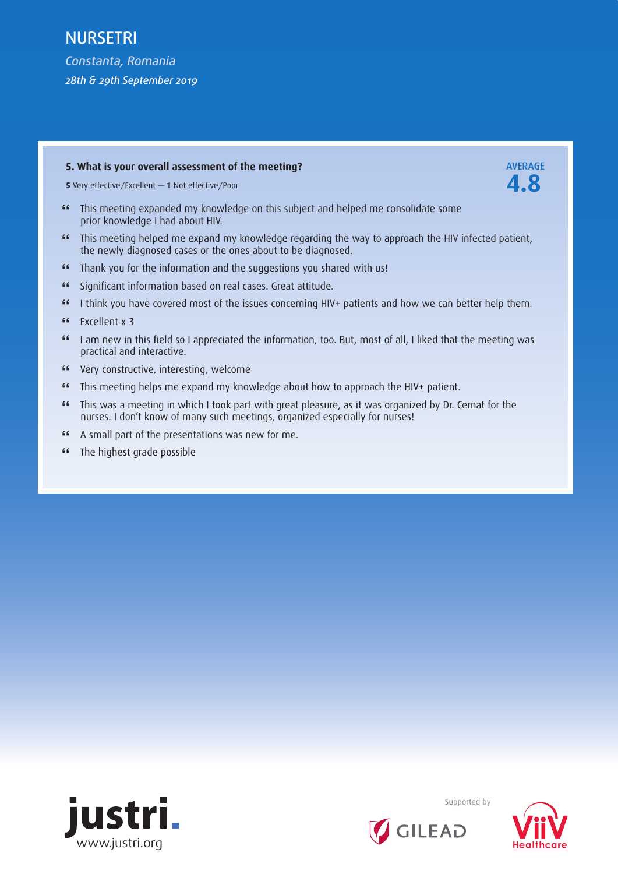*Constanta, Romania 28th & 29th September 2019*

### **5. What is your overall assessment of the meeting? AVERAGE**

**<sup>5</sup>**Very effective/Excellent *—* **1** Not effective/Poor **4.8**

- **"** This meeting expanded my knowledge on this subject and helped me consolidate some prior knowledge I had about HIV.
- **"** This meeting helped me expand my knowledge regarding the way to approach the HIV infected patient, the newly diagnosed cases or the ones about to be diagnosed.
- **"** Thank you for the information and the suggestions you shared with us!
- **"** Significant information based on real cases. Great attitude.
- **"** I think you have covered most of the issues concerning HIV+ patients and how we can better help them.
- **"** Excellent x 3<br>**"** I am new in
- **"** I am new in this field so I appreciated the information, too. But, most of all, I liked that the meeting was practical and interactive.
- **"** Very constructive, interesting, welcome
- **"** This meeting helps me expand my knowledge about how to approach the HIV+ patient.<br>"This was a meeting in which I took part with great pleasure, as it was organized by Dr. C
- **"** This was a meeting in which I took part with great pleasure, as it was organized by Dr. Cernat for the nurses. I don't know of many such meetings, organized especially for nurses!
- **"** A small part of the presentations was new for me.
- **"** The highest grade possible